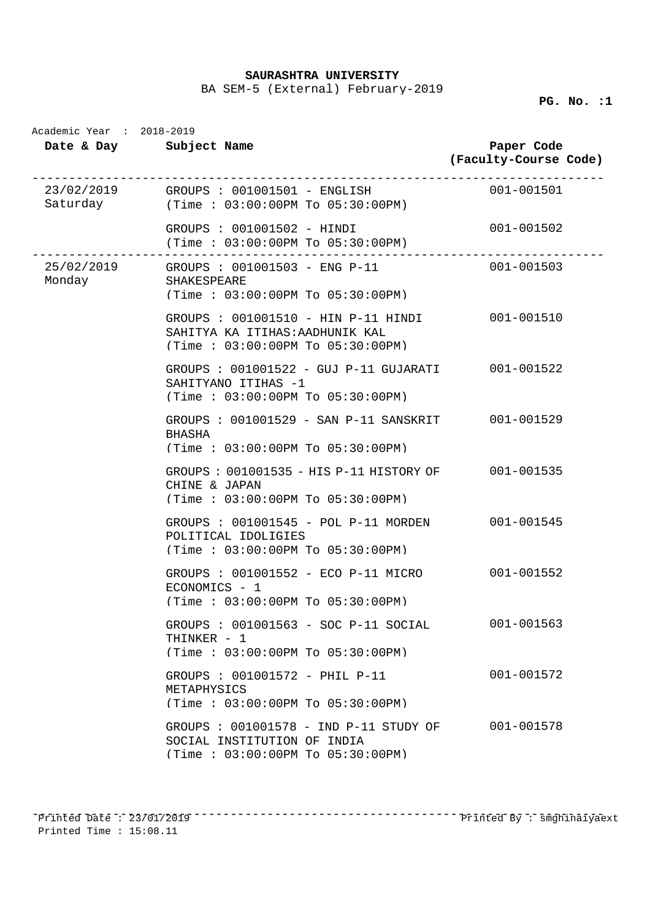BA SEM-5 (External) February-2019

**PG. No. :1** 

| Academic Year : 2018-2019<br>Date & Day Subject Name |                                                                                                              | Paper Code<br>(Faculty-Course Code) |
|------------------------------------------------------|--------------------------------------------------------------------------------------------------------------|-------------------------------------|
|                                                      | 23/02/2019 GROUPS : 001001501 - ENGLISH<br>$Saturday$ (Time: $03:00:00PM$ To $05:30:00PM$ )                  | $001 - 001501$                      |
|                                                      | GROUPS : 001001502 - HINDI<br>(Time : 03:00:00PM To 05:30:00PM)                                              | 001-001502                          |
| Monday SHAKESPEARE                                   | 25/02/2019 GROUPS : 001001503 - ENG P-11<br>(Time: 03:00:00PM To 05:30:00PM)                                 | 001-001503                          |
|                                                      | GROUPS : 001001510 - HIN P-11 HINDI<br>SAHITYA KA ITIHAS: AADHUNIK KAL<br>(Time: 03:00:00PM To 05:30:00PM)   | 001-001510                          |
|                                                      | GROUPS : 001001522 - GUJ P-11 GUJARATI 001-001522<br>SAHITYANO ITIHAS -1<br>(Time: 03:00:00PM To 05:30:00PM) |                                     |
|                                                      | GROUPS : 001001529 - SAN P-11 SANSKRIT 001-001529<br>BHASHA<br>(Time : 03:00:00PM TO 05:30:00PM)             |                                     |
|                                                      | GROUPS: 001001535 - HIS P-11 HISTORY OF 001-001535<br>CHINE & JAPAN<br>(Time: 03:00:00PM To 05:30:00PM)      |                                     |
|                                                      | GROUPS : 001001545 - POL P-11 MORDEN 001-001545<br>POLITICAL IDOLIGIES<br>(Time: 03:00:00PM To 05:30:00PM)   |                                     |
|                                                      | GROUPS : 001001552 - ECO P-11 MICRO 001-001552<br>$ECONOMICS - 1$<br>(Time: 03:00:00PM To 05:30:00PM)        |                                     |
|                                                      | GROUPS : 001001563 - SOC P-11 SOCIAL<br>THINKER - 1<br>(Time: 03:00:00PM To 05:30:00PM)                      | 001-001563                          |
|                                                      | GROUPS : 001001572 - PHIL P-11<br>METAPHYSICS<br>$(Time : 03:00:00PM$ To $05:30:00PM$                        | 001-001572                          |
|                                                      | GROUPS : 001001578 - IND P-11 STUDY OF<br>SOCIAL INSTITUTION OF INDIA<br>(Time: 03:00:00PM To 05:30:00PM)    | 001-001578                          |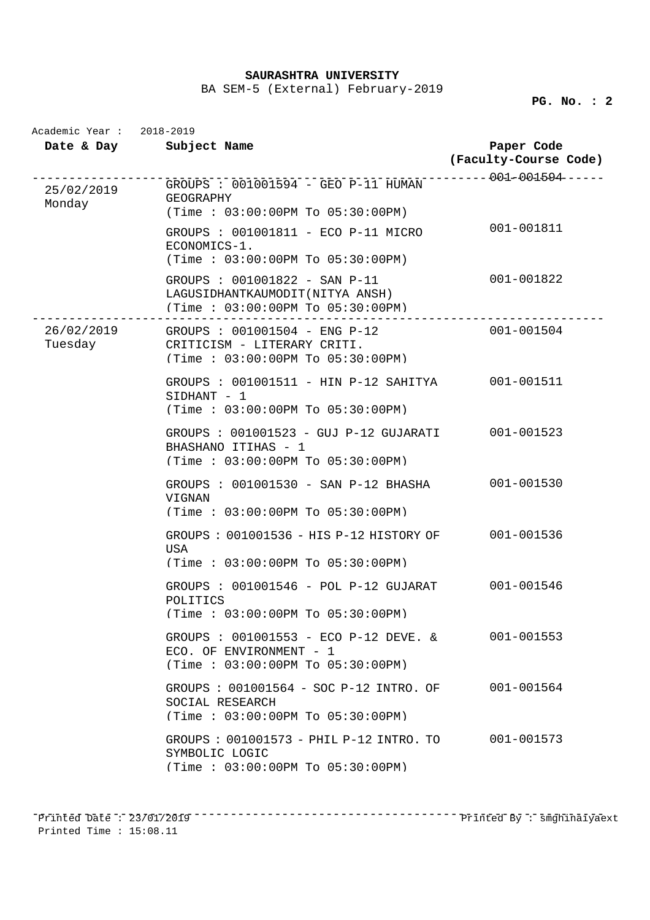BA SEM-5 (External) February-2019

**PG. No. : 2** 

|                       | Date & Day Subject Name                                                                                | Paper Code<br>(Faculty-Course Code) |
|-----------------------|--------------------------------------------------------------------------------------------------------|-------------------------------------|
| 25/02/2019<br>Monday  | GROUPS : 001001594 - GEO P-11 HUMAN<br><b>GEOGRAPHY</b><br>(Time: 03:00:00PM To 05:30:00PM)            | ---------001-001594------           |
|                       | GROUPS : 001001811 - ECO P-11 MICRO<br>ECONOMICS-1.<br>(Time: 03:00:00PM To 05:30:00PM)                | 001-001811                          |
|                       | GROUPS : 001001822 - SAN P-11<br>LAGUSIDHANTKAUMODIT (NITYA ANSH)<br>(Time : 03:00:00PM To 05:30:00PM) | 001-001822                          |
| 26/02/2019<br>Tuesday | GROUPS : 001001504 - ENG P-12<br>CRITICISM - LITERARY CRITI.<br>(Time: 03:00:00PM To 05:30:00PM)       | 001-001504                          |
|                       | GROUPS : 001001511 - HIN P-12 SAHITYA<br>SIDHANT - 1<br>(Time : 03:00:00PM To 05:30:00PM)              | 001-001511                          |
|                       | GROUPS : 001001523 - GUJ P-12 GUJARATI<br>BHASHANO ITIHAS - 1<br>(Time: 03:00:00PM To 05:30:00PM)      | 001-001523                          |
|                       | GROUPS : 001001530 - SAN P-12 BHASHA<br>VIGNAN<br>(Time: 03:00:00PM To 05:30:00PM)                     | 001-001530                          |
|                       | GROUPS: 001001536 - HIS P-12 HISTORY OF<br>USA<br>(Time : 03:00:00PM TO 05:30:00PM)                    | 001-001536                          |
|                       | GROUPS : 001001546 - POL P-12 GUJARAT<br>POLITICS<br>(Time: 03:00:00PM To 05:30:00PM)                  | 001-001546                          |
|                       | GROUPS : 001001553 - ECO P-12 DEVE. &<br>ECO. OF ENVIRONMENT - 1<br>(Time : 03:00:00PM TO 05:30:00PM)  | 001-001553                          |
|                       | GROUPS : 001001564 - SOC P-12 INTRO. OF<br>SOCIAL RESEARCH<br>$(Time : 03:00:00PM$ To $05:30:00PM$     | 001-001564                          |
|                       | GROUPS: 001001573 - PHIL P-12 INTRO. TO<br>SYMBOLIC LOGIC<br>$(Time : 03:00:00PM$ To $05:30:00PM$      | 001-001573                          |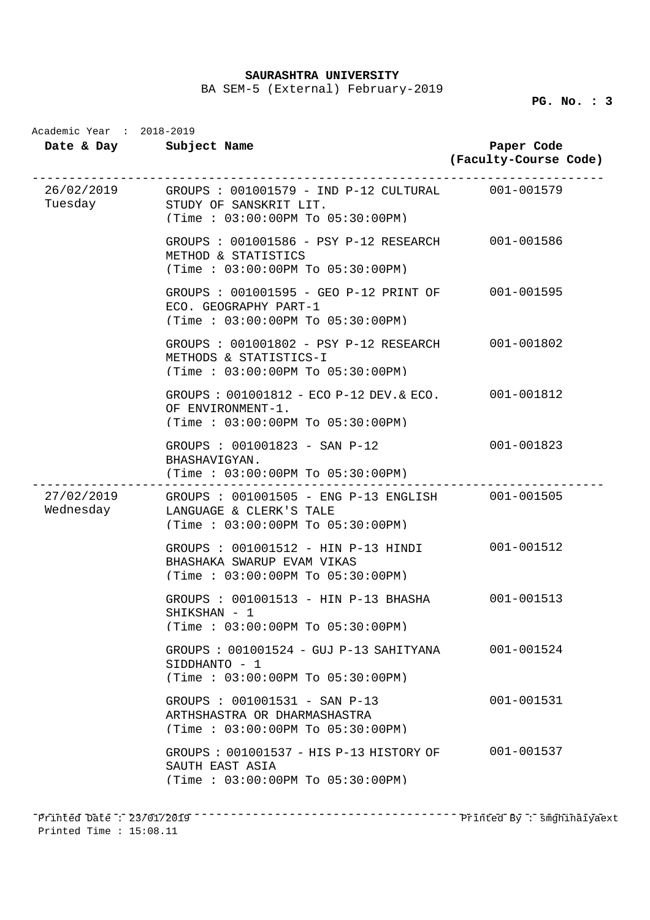BA SEM-5 (External) February-2019

|         | Date & Day Subject Name                                                                                                             | Paper Code<br>(Faculty-Course Code) |
|---------|-------------------------------------------------------------------------------------------------------------------------------------|-------------------------------------|
| Tuesday | 26/02/2019 GROUPS: 001001579 - IND P-12 CULTURAL 001-001579<br>STUDY OF SANSKRIT LIT.<br>(Time: 03:00:00PM To 05:30:00PM)           |                                     |
|         | GROUPS : 001001586 - PSY P-12 RESEARCH 001-001586<br>METHOD & STATISTICS<br>(Time: 03:00:00PM To 05:30:00PM)                        |                                     |
|         | GROUPS : 001001595 - GEO P-12 PRINT OF 001-001595<br>ECO. GEOGRAPHY PART-1<br>(Time: 03:00:00PM To 05:30:00PM)                      |                                     |
|         | GROUPS : 001001802 - PSY P-12 RESEARCH 001-001802<br>METHODS & STATISTICS-I<br>(Time: 03:00:00PM To 05:30:00PM)                     |                                     |
|         | GROUPS : 001001812 - ECO P-12 DEV. & ECO. 001-001812<br>OF ENVIRONMENT-1.<br>(Time: 03:00:00PM To 05:30:00PM)                       |                                     |
|         | GROUPS : 001001823 - SAN P-12<br>BHASHAVIGYAN.<br>(Time : 03:00:00PM To 05:30:00PM)                                                 | 001-001823                          |
|         | 27/02/2019 GROUPS: 001001505 - ENG P-13 ENGLISH 001-001505<br>Wednesday LANGUAGE & CLERK'S TALE<br>(Time: 03:00:00PM To 05:30:00PM) |                                     |
|         | GROUPS : 001001512 - HIN P-13 HINDI<br>BHASHAKA SWARUP EVAM VIKAS<br>(Time: 03:00:00PM To 05:30:00PM)                               | 001-001512                          |
|         | GROUPS : 001001513 - HIN P-13 BHASHA 001-001513<br>SHIKSHAN - 1<br>(Time: 03:00:00PM To 05:30:00PM)                                 |                                     |
|         | GROUPS: 001001524 - GUJ P-13 SAHITYANA<br>SIDDHANTO - 1<br>(Time : 03:00:00PM TO 05:30:00PM)                                        | 001-001524                          |
|         | GROUPS : 001001531 - SAN P-13<br>ARTHSHASTRA OR DHARMASHASTRA<br>(Time: 03:00:00PM To 05:30:00PM)                                   | 001-001531                          |
|         | GROUPS : 001001537 - HIS P-13 HISTORY OF<br>SAUTH EAST ASIA<br>$(Time : 03:00:00PM$ To $05:30:00PM$                                 | 001-001537                          |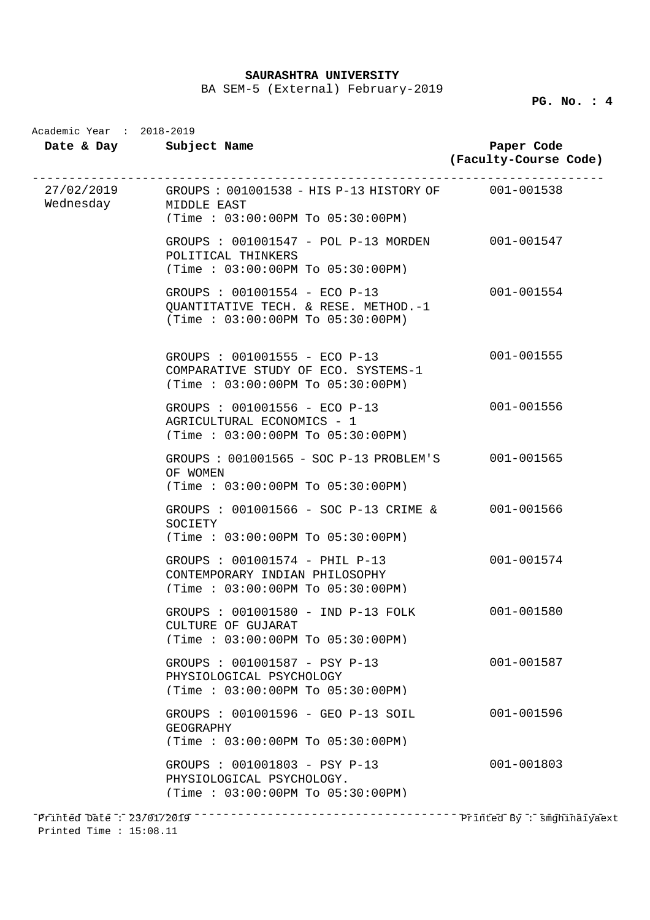BA SEM-5 (External) February-2019

**PG. No. : 4** 

|                       | Date & Day Subject Name                                                                                    | Paper Code<br>(Faculty-Course Code) |
|-----------------------|------------------------------------------------------------------------------------------------------------|-------------------------------------|
| Wednesday MIDDLE EAST | 27/02/2019 GROUPS: 001001538 - HIS P-13 HISTORY OF 001-001538<br>(Time : 03:00:00PM TO 05:30:00PM)         |                                     |
|                       | GROUPS : 001001547 - POL P-13 MORDEN 001-001547<br>POLITICAL THINKERS<br>(Time : 03:00:00PM TO 05:30:00PM) |                                     |
|                       | GROUPS : 001001554 - ECO P-13<br>QUANTITATIVE TECH. & RESE. METHOD. -1<br>(Time: 03:00:00PM To 05:30:00PM) | 001-001554                          |
|                       | GROUPS : 001001555 - ECO P-13<br>COMPARATIVE STUDY OF ECO. SYSTEMS-1<br>(Time : 03:00:00PM TO 05:30:00PM)  | 001-001555                          |
|                       | GROUPS : 001001556 - ECO P-13<br>AGRICULTURAL ECONOMICS - 1<br>(Time : 03:00:00PM T0 05:30:00PM)           | 001-001556                          |
|                       | GROUPS : 001001565 - SOC P-13 PROBLEM'S 001-001565<br>OF WOMEN<br>$(Time : 03:00:00PM$ To $05:30:00PM$     |                                     |
|                       | GROUPS : 001001566 - SOC P-13 CRIME & 001-001566<br>SOCIETY<br>(Time: 03:00:00PM To 05:30:00PM)            |                                     |
|                       | GROUPS : 001001574 - PHIL P-13<br>CONTEMPORARY INDIAN PHILOSOPHY<br>(Time: 03:00:00PM To 05:30:00PM)       | 001-001574                          |
|                       | GROUPS : 001001580 - IND P-13 FOLK<br>CULTURE OF GUJARAT<br>(Time : 03:00:00PM TO 05:30:00PM)              | 001-001580                          |
|                       | GROUPS : 001001587 - PSY P-13<br>PHYSIOLOGICAL PSYCHOLOGY<br>$(Time : 03:00:00PM$ To $05:30:00PM$          | 001-001587                          |
|                       | GROUPS : 001001596 - GEO P-13 SOIL<br>GEOGRAPHY<br>$(Time : 03:00:00PM$ To $05:30:00PM$                    | 001-001596                          |
|                       | GROUPS : 001001803 - PSY P-13<br>PHYSIOLOGICAL PSYCHOLOGY.<br>$(Time : 03:00:00PM$ To $05:30:00PM$         | $001 - 001803$                      |

Printed Time : 15:08.11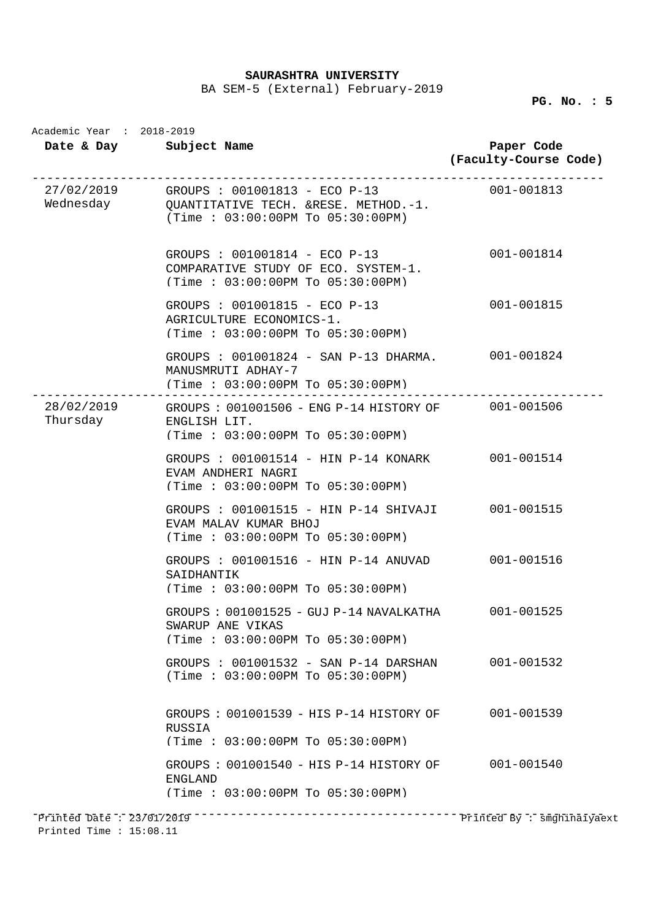BA SEM-5 (External) February-2019

|          | Date & Day Subject Name                                                                                                                   | Paper Code<br>(Faculty-Course Code) |
|----------|-------------------------------------------------------------------------------------------------------------------------------------------|-------------------------------------|
|          | 27/02/2019 GROUPS : 001001813 - ECO P-13 001-001813<br>Wednesday CUANTITATIVE TECH. &RESE. METHOD.-1.<br>(Time: 03:00:00PM To 05:30:00PM) |                                     |
|          | GROUPS : 001001814 - ECO P-13<br>COMPARATIVE STUDY OF ECO. SYSTEM-1.<br>(Time: 03:00:00PM To 05:30:00PM)                                  | 001-001814                          |
|          | GROUPS : 001001815 - ECO P-13<br>AGRICULTURE ECONOMICS-1.<br>(Time: 03:00:00PM To 05:30:00PM)                                             | 001-001815                          |
|          | GROUPS : 001001824 - SAN P-13 DHARMA. 001-001824<br>MANUSMRUTI ADHAY-7<br>$(Time : 03:00:00PM$ To $05:30:00PM$                            |                                     |
| Thursday | 28/02/2019 GROUPS: 001001506 - ENG P-14 HISTORY OF 001-001506<br>ENGLISH LIT.<br>(Time: 03:00:00PM To 05:30:00PM)                         |                                     |
|          | GROUPS : 001001514 - HIN P-14 KONARK 001-001514<br>EVAM ANDHERI NAGRI<br>(Time: 03:00:00PM To 05:30:00PM)                                 |                                     |
|          | GROUPS : 001001515 - HIN P-14 SHIVAJI 001-001515<br>EVAM MALAV KUMAR BHOJ<br>(Time: 03:00:00PM To 05:30:00PM)                             |                                     |
|          | GROUPS : 001001516 - HIN P-14 ANUVAD<br>SAIDHANTIK<br>(Time: 03:00:00PM To 05:30:00PM)                                                    | 001-001516                          |
|          | GROUPS: 001001525 - GUJ P-14 NAVALKATHA 001-001525<br>SWARUP ANE VIKAS<br>(Time: 03:00:00PM To 05:30:00PM)                                |                                     |
|          | GROUPS : 001001532 - SAN P-14 DARSHAN 001-001532<br>(Time: 03:00:00PM To 05:30:00PM)                                                      |                                     |
|          | GROUPS: 001001539 - HIS P-14 HISTORY OF 001-001539<br>RUSSIA<br>(Time: 03:00:00PM To 05:30:00PM)                                          |                                     |
|          | GROUPS: 001001540 - HIS P-14 HISTORY OF 001-001540<br><b>ENGLAND</b><br>(Time: 03:00:00PM To 05:30:00PM)                                  |                                     |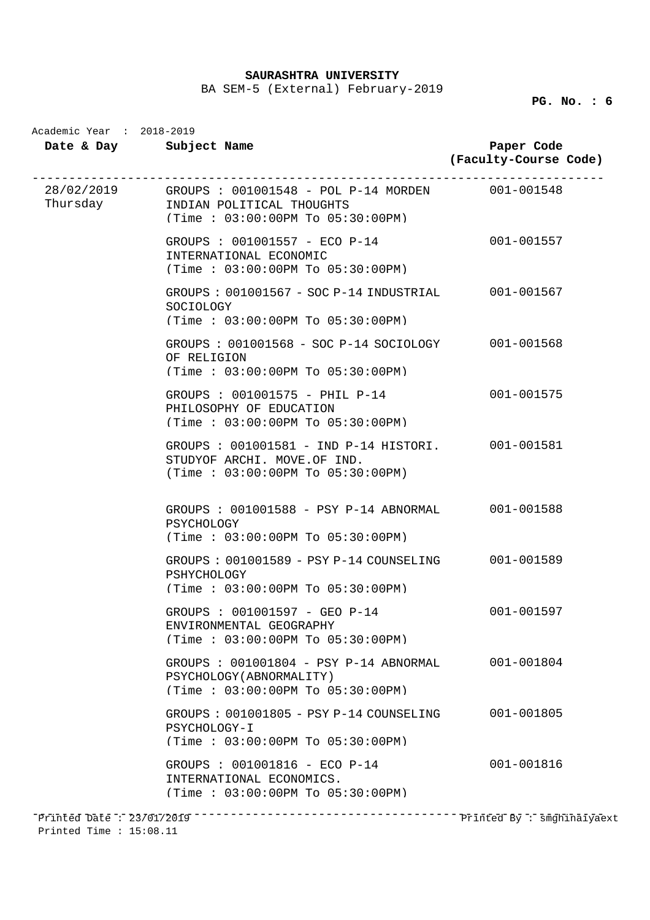BA SEM-5 (External) February-2019

| Academic Year : 2018-2019 | Date & Day Subject Name                                                                                                                     | Paper Code<br>(Faculty-Course Code) |
|---------------------------|---------------------------------------------------------------------------------------------------------------------------------------------|-------------------------------------|
|                           | 28/02/2019 GROUPS: 001001548 - POL P-14 MORDEN 001-001548<br>Thursday <b>INDIAN POLITICAL THOUGHTS</b><br>(Time : 03:00:00PM To 05:30:00PM) |                                     |
|                           | GROUPS : 001001557 - ECO P-14<br>INTERNATIONAL ECONOMIC<br>(Time: 03:00:00PM To 05:30:00PM)                                                 | 001-001557                          |
|                           | GROUPS: 001001567 - SOC P-14 INDUSTRIAL 001-001567<br>SOCIOLOGY<br>$(Time : 03:00:00PM$ To $05:30:00PM$                                     |                                     |
|                           | GROUPS: 001001568 - SOC P-14 SOCIOLOGY 001-001568<br>OF RELIGION<br>$(Time : 03:00:00PM$ To $05:30:00PM$                                    |                                     |
|                           | GROUPS : 001001575 - PHIL P-14<br>PHILOSOPHY OF EDUCATION<br>(Time: 03:00:00PM To 05:30:00PM)                                               | 001-001575                          |
|                           | GROUPS : 001001581 - IND P-14 HISTORI. 001-001581<br>STUDYOF ARCHI. MOVE.OF IND.<br>(Time: 03:00:00PM To 05:30:00PM)                        |                                     |
|                           | GROUPS : 001001588 - PSY P-14 ABNORMAL 001-001588<br>PSYCHOLOGY<br>(Time: 03:00:00PM To 05:30:00PM)                                         |                                     |
|                           | GROUPS: 001001589 - PSY P-14 COUNSELING 001-001589<br>PSHYCHOLOGY<br>(Time: 03:00:00PM To 05:30:00PM)                                       |                                     |
|                           | GROUPS : 001001597 - GEO P-14<br>ENVIRONMENTAL GEOGRAPHY<br>(Time : 03:00:00PM TO 05:30:00PM)                                               | 001-001597                          |
|                           | GROUPS : 001001804 - PSY P-14 ABNORMAL<br>PSYCHOLOGY (ABNORMALITY)<br>(Time: 03:00:00PM To 05:30:00PM)                                      | 001-001804                          |
|                           | GROUPS : $001001805 - PSY P-14 COUNSELING$<br>PSYCHOLOGY-I<br>(Time: 03:00:00PM To 05:30:00PM)                                              | 001-001805                          |
|                           | GROUPS : 001001816 - ECO P-14<br>INTERNATIONAL ECONOMICS.<br>(Time: 03:00:00PM To 05:30:00PM)                                               | 001-001816                          |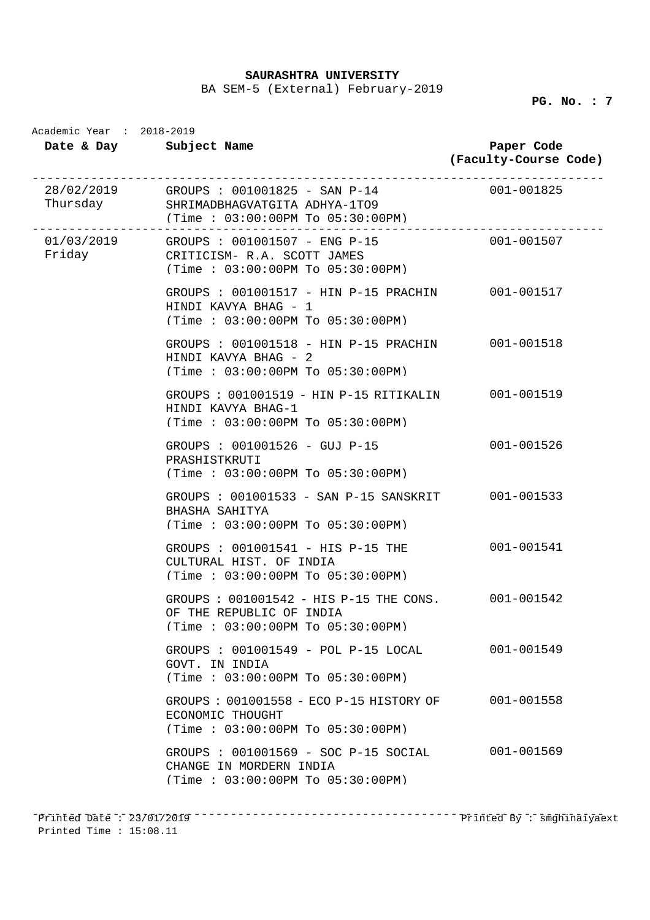BA SEM-5 (External) February-2019

| Academic Year : 2018-2019<br>Date & Day Subject Name |                                                                                                                         | Paper Code<br>(Faculty-Course Code) |
|------------------------------------------------------|-------------------------------------------------------------------------------------------------------------------------|-------------------------------------|
|                                                      | $28/02/2019$ GROUPS: 001001825 - SAN P-14<br>Thursday SHRIMADBHAGVATGITA ADHYA-1TO9<br>(Time: 03:00:00PM To 05:30:00PM) | $001 - 001825$                      |
| Friday                                               | 01/03/2019 GROUPS : 001001507 - ENG P-15<br>CRITICISM- R.A. SCOTT JAMES<br>(Time : 03:00:00PM To 05:30:00PM)            | 001-001507                          |
|                                                      | GROUPS : 001001517 - HIN P-15 PRACHIN 001-001517<br>HINDI KAVYA BHAG - 1<br>(Time: 03:00:00PM To 05:30:00PM)            |                                     |
|                                                      | GROUPS : 001001518 - HIN P-15 PRACHIN 001-001518<br>HINDI KAVYA BHAG - 2<br>(Time: 03:00:00PM To 05:30:00PM)            |                                     |
|                                                      | GROUPS: 001001519 - HIN P-15 RITIKALIN<br>HINDI KAVYA BHAG-1<br>(Time: 03:00:00PM To 05:30:00PM)                        | 001-001519                          |
|                                                      | GROUPS : 001001526 - GUJ P-15<br>PRASHISTKRUTI<br>(Time : 03:00:00PM TO 05:30:00PM)                                     | 001-001526                          |
|                                                      | GROUPS : 001001533 - SAN P-15 SANSKRIT<br>BHASHA SAHITYA<br>(Time: 03:00:00PM To 05:30:00PM)                            | 001-001533                          |
|                                                      | GROUPS : 001001541 - HIS P-15 THE<br>CULTURAL HIST. OF INDIA<br>(Time: 03:00:00PM To 05:30:00PM)                        | 001-001541                          |
|                                                      | GROUPS : 001001542 - HIS P-15 THE CONS. 001-001542<br>OF THE REPUBLIC OF INDIA<br>$(Time : 03:00:00PM$ To $05:30:00PM$  |                                     |
|                                                      | GROUPS : 001001549 - POL P-15 LOCAL<br>GOVT. IN INDIA<br>$(Time : 03:00:00PM$ To $05:30:00PM$                           | 001-001549                          |
|                                                      | GROUPS : 001001558 - ECO P-15 HISTORY OF<br>ECONOMIC THOUGHT<br>(Time: 03:00:00PM To 05:30:00PM)                        | 001-001558                          |
|                                                      | GROUPS : 001001569 - SOC P-15 SOCIAL<br>CHANGE IN MORDERN INDIA<br>$(Time : 03:00:00PM$ To $05:30:00PM$                 | 001-001569                          |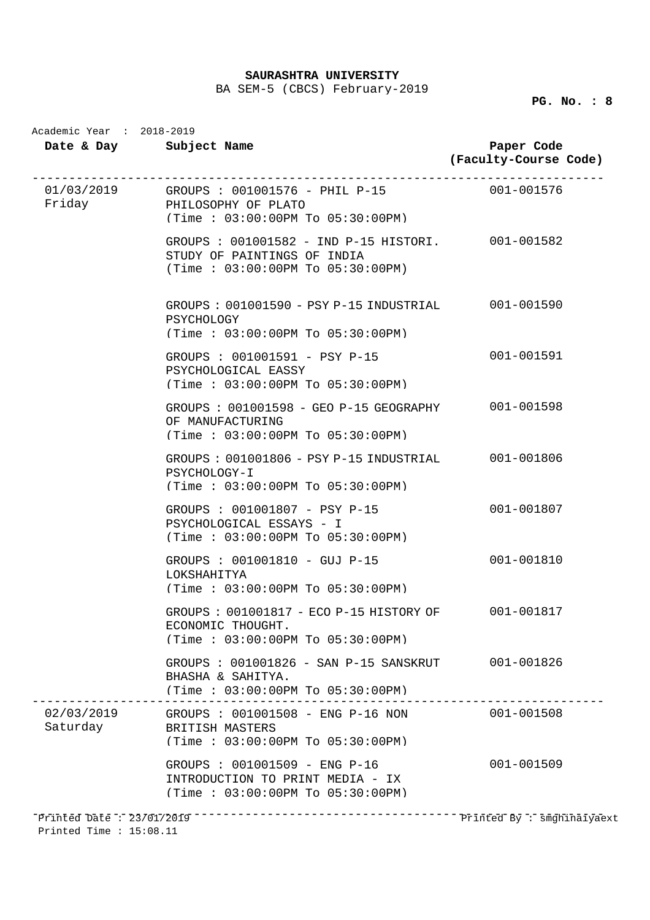BA SEM-5 (CBCS) February-2019

|          | Date & Day Subject Name                                                                                                  | Paper Code<br>(Faculty-Course Code) |
|----------|--------------------------------------------------------------------------------------------------------------------------|-------------------------------------|
|          | $01/03/2019$ GROUPS: 001001576 - PHIL P-15 001-001576<br>Friday PHILOSOPHY OF PLATO<br>(Time : 03:00:00PM TO 05:30:00PM) |                                     |
|          | GROUPS : 001001582 - IND P-15 HISTORI. 001-001582<br>STUDY OF PAINTINGS OF INDIA<br>(Time: 03:00:00PM To 05:30:00PM)     |                                     |
|          | GROUPS: 001001590 - PSY P-15 INDUSTRIAL 001-001590<br>PSYCHOLOGY<br>(Time: 03:00:00PM To 05:30:00PM)                     |                                     |
|          | GROUPS : 001001591 - PSY P-15<br>PSYCHOLOGICAL EASSY<br>(Time: 03:00:00PM To 05:30:00PM)                                 | 001-001591                          |
|          | GROUPS: 001001598 - GEO P-15 GEOGRAPHY 001-001598<br>OF MANUFACTURING<br>(Time: 03:00:00PM To 05:30:00PM)                |                                     |
|          | GROUPS: 001001806 - PSY P-15 INDUSTRIAL 001-001806<br>PSYCHOLOGY-I<br>(Time: 03:00:00PM To 05:30:00PM)                   |                                     |
|          | GROUPS : 001001807 - PSY P-15<br>PSYCHOLOGICAL ESSAYS - I<br>(Time: 03:00:00PM To 05:30:00PM)                            | 001-001807                          |
|          | GROUPS : 001001810 - GUJ P-15<br>LOKSHAHITYA<br>$(Time : 03:00:00PM$ To $05:30:00PM$                                     | 001-001810                          |
|          | GROUPS: 001001817 - ECO P-15 HISTORY OF 001-001817<br>ECONOMIC THOUGHT.<br>(Time: 03:00:00PM To 05:30:00PM)              |                                     |
|          | GROUPS : 001001826 - SAN P-15 SANSKRUT 001-001826<br>BHASHA & SAHITYA.<br>(Time: 03:00:00PM To 05:30:00PM)               |                                     |
| Saturday | 02/03/2019 GROUPS: 001001508 - ENG P-16 NON 001-001508<br>BRITISH MASTERS<br>(Time: 03:00:00PM To 05:30:00PM)            |                                     |
|          | GROUPS : 001001509 - ENG P-16<br>INTRODUCTION TO PRINT MEDIA - IX<br>(Time: 03:00:00PM To 05:30:00PM)                    | 001-001509                          |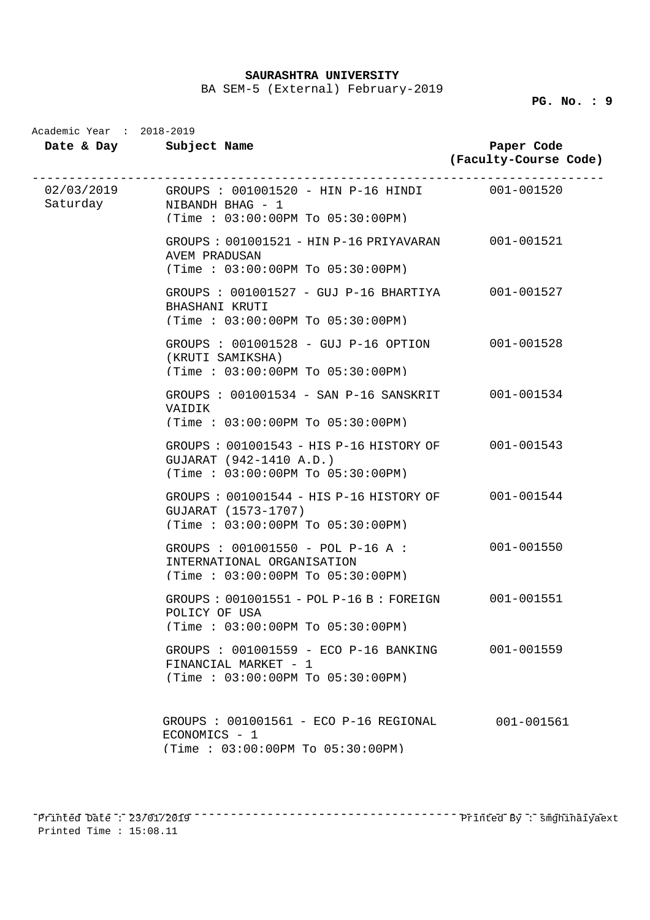BA SEM-5 (External) February-2019

**PG. No. : 9** 

|  | Date & Day Subject Name                                                                                                                                       | Paper Code<br>(Faculty-Course Code) |
|--|---------------------------------------------------------------------------------------------------------------------------------------------------------------|-------------------------------------|
|  | _______________________________<br>02/03/2019 GROUPS: 001001520 - HIN P-16 HINDI 001-001520<br>Saturday NIBANDH BHAG - 1<br>(Time : 03:00:00PM TO 05:30:00PM) |                                     |
|  | GROUPS : 001001521 - HIN P-16 PRIYAVARAN<br>AVEM PRADUSAN<br>(Time : 03:00:00PM TO 05:30:00PM)                                                                | 001-001521                          |
|  | GROUPS : 001001527 - GUJ P-16 BHARTIYA<br>BHASHANI KRUTI<br>(Time: 03:00:00PM To 05:30:00PM)                                                                  | 001-001527                          |
|  | GROUPS : 001001528 - GUJ P-16 OPTION<br>(KRUTI SAMIKSHA)<br>(Time: 03:00:00PM To 05:30:00PM)                                                                  | 001-001528                          |
|  | GROUPS : 001001534 - SAN P-16 SANSKRIT 001-001534<br>VAIDIK<br>(Time : 03:00:00PM To 05:30:00PM)                                                              |                                     |
|  | GROUPS: 001001543 - HIS P-16 HISTORY OF 001-001543<br>GUJARAT (942-1410 A.D.)<br>(Time: 03:00:00PM To 05:30:00PM)                                             |                                     |
|  | GROUPS: 001001544 - HIS P-16 HISTORY OF<br>GUJARAT (1573-1707)<br>(Time: 03:00:00PM To 05:30:00PM)                                                            | 001-001544                          |
|  | GROUPS : $001001550 - POL P-16 A :$<br>INTERNATIONAL ORGANISATION<br>(Time: 03:00:00PM To 05:30:00PM)                                                         | 001-001550                          |
|  | $GROUPS$ : 001001551 - POL P-16 B : FOREIGN<br>POLICY OF USA<br>(Time: 03:00:00PM To 05:30:00PM)                                                              | 001-001551                          |
|  | GROUPS : 001001559 - ECO P-16 BANKING<br>FINANCIAL MARKET - 1<br>(Time: 03:00:00PM To 05:30:00PM)                                                             | 001-001559                          |
|  | GROUPS : 001001561 - ECO P-16 REGIONAL<br>ECONOMICS - 1<br>(Time: 03:00:00PM To 05:30:00PM)                                                                   | 001-001561                          |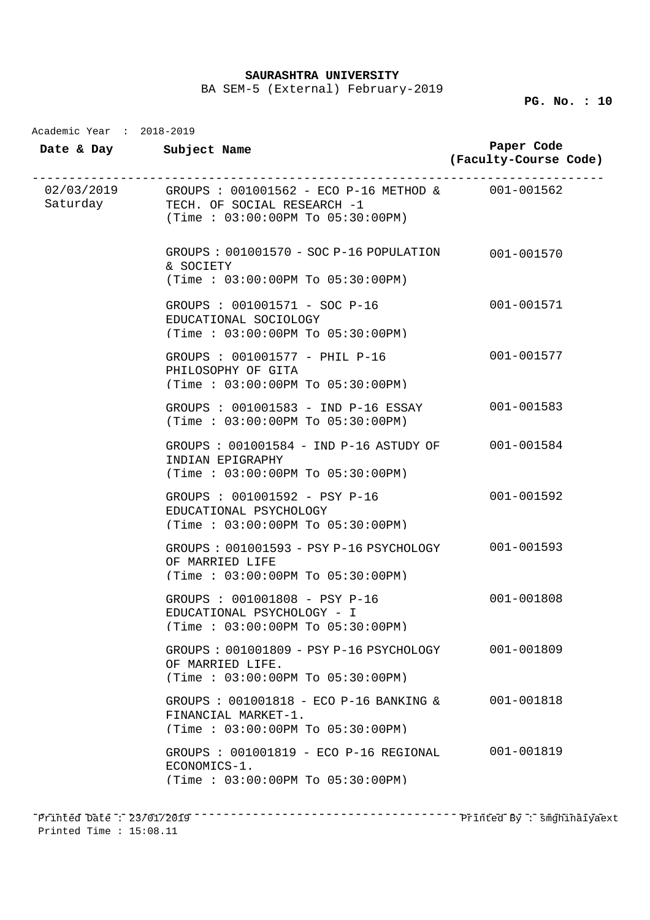BA SEM-5 (External) February-2019

## **PG. No. : 10**

| Academic Year : 2018-2019 |                                                                                                                                              |                                     |
|---------------------------|----------------------------------------------------------------------------------------------------------------------------------------------|-------------------------------------|
|                           | Date & Day Subject Name                                                                                                                      | Paper Code<br>(Faculty-Course Code) |
|                           | $02/03/2019$ GROUPS: $001001562$ - ECO P-16 METHOD & 001-001562<br>Saturday TECH. OF SOCIAL RESEARCH -1<br>(Time : 03:00:00PM To 05:30:00PM) |                                     |
|                           | $GROUPS: 001001570 - SOC P-16 POPULATION$<br>& SOCIETY<br>(Time : 03:00:00PM TO 05:30:00PM)                                                  | 001-001570                          |
|                           | GROUPS : 001001571 - SOC P-16<br>EDUCATIONAL SOCIOLOGY<br>(Time: 03:00:00PM To 05:30:00PM)                                                   | 001-001571                          |
|                           | GROUPS : 001001577 - PHIL P-16<br>PHILOSOPHY OF GITA<br>(Time: 03:00:00PM To 05:30:00PM)                                                     | 001-001577                          |
|                           | GROUPS : 001001583 - IND P-16 ESSAY<br>(Time : 03:00:00PM To 05:30:00PM)                                                                     | 001-001583                          |
|                           | GROUPS : 001001584 - IND P-16 ASTUDY OF<br>INDIAN EPIGRAPHY<br>(Time: 03:00:00PM To 05:30:00PM)                                              | 001-001584                          |
|                           | GROUPS : 001001592 - PSY P-16<br>EDUCATIONAL PSYCHOLOGY<br>(Time: 03:00:00PM To 05:30:00PM)                                                  | 001-001592                          |
|                           | GROUPS: 001001593 - PSY P-16 PSYCHOLOGY 001-001593<br>OF MARRIED LIFE<br>(Time : 03:00:00PM TO 05:30:00PM)                                   |                                     |
|                           | GROUPS : 001001808 - PSY P-16<br>EDUCATIONAL PSYCHOLOGY - I<br>(Time : 03:00:00PM T0 05:30:00PM)                                             | 001-001808                          |
|                           | GROUPS : 001001809 - PSY P-16 PSYCHOLOGY<br>OF MARRIED LIFE.<br>(Time : 03:00:00PM TO 05:30:00PM)                                            | 001-001809                          |
|                           | GROUPS : 001001818 - ECO P-16 BANKING &<br>FINANCIAL MARKET-1.<br>(Time: 03:00:00PM To 05:30:00PM)                                           | 001-001818                          |
|                           | GROUPS : 001001819 - ECO P-16 REGIONAL<br>ECONOMICS-1.<br>(Time : 03:00:00PM TO 05:30:00PM)                                                  | 001-001819                          |